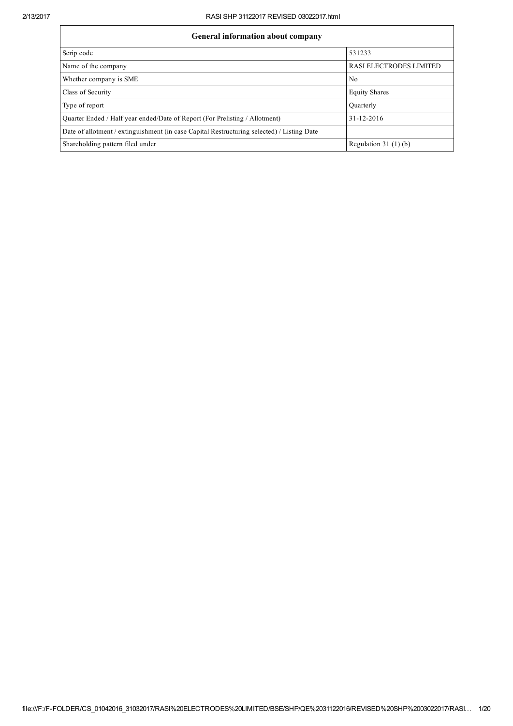| General information about company                                                          |                                |  |  |  |  |  |  |
|--------------------------------------------------------------------------------------------|--------------------------------|--|--|--|--|--|--|
| Scrip code                                                                                 | 531233                         |  |  |  |  |  |  |
| Name of the company                                                                        | <b>RASI ELECTRODES LIMITED</b> |  |  |  |  |  |  |
| Whether company is SME                                                                     | N <sub>0</sub>                 |  |  |  |  |  |  |
| Class of Security                                                                          | <b>Equity Shares</b>           |  |  |  |  |  |  |
| Type of report                                                                             | Quarterly                      |  |  |  |  |  |  |
| Quarter Ended / Half year ended/Date of Report (For Prelisting / Allotment)                | 31-12-2016                     |  |  |  |  |  |  |
| Date of allotment / extinguishment (in case Capital Restructuring selected) / Listing Date |                                |  |  |  |  |  |  |
| Shareholding pattern filed under                                                           | Regulation $31(1)(b)$          |  |  |  |  |  |  |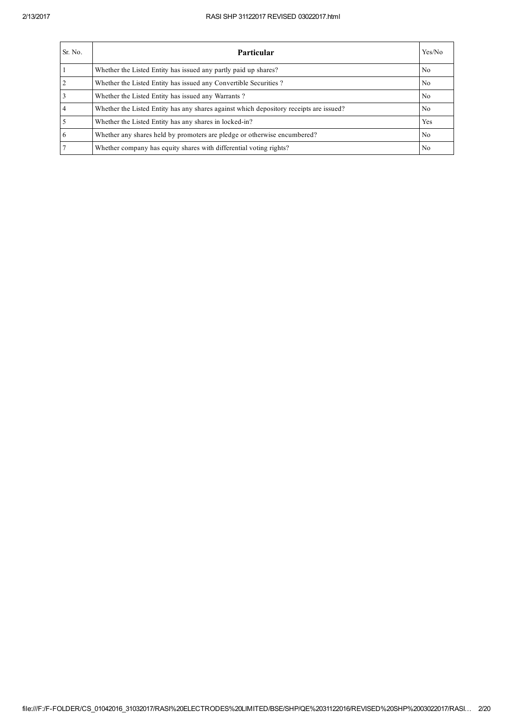| Sr. No. | <b>Particular</b>                                                                      | Yes/No         |
|---------|----------------------------------------------------------------------------------------|----------------|
|         | Whether the Listed Entity has issued any partly paid up shares?                        | N <sub>0</sub> |
|         | Whether the Listed Entity has issued any Convertible Securities?                       | N <sub>0</sub> |
|         | Whether the Listed Entity has issued any Warrants?                                     | N <sub>0</sub> |
|         | Whether the Listed Entity has any shares against which depository receipts are issued? | N <sub>0</sub> |
|         | Whether the Listed Entity has any shares in locked-in?                                 | Yes            |
| 6       | Whether any shares held by promoters are pledge or otherwise encumbered?               | N <sub>0</sub> |
|         | Whether company has equity shares with differential voting rights?                     | N <sub>0</sub> |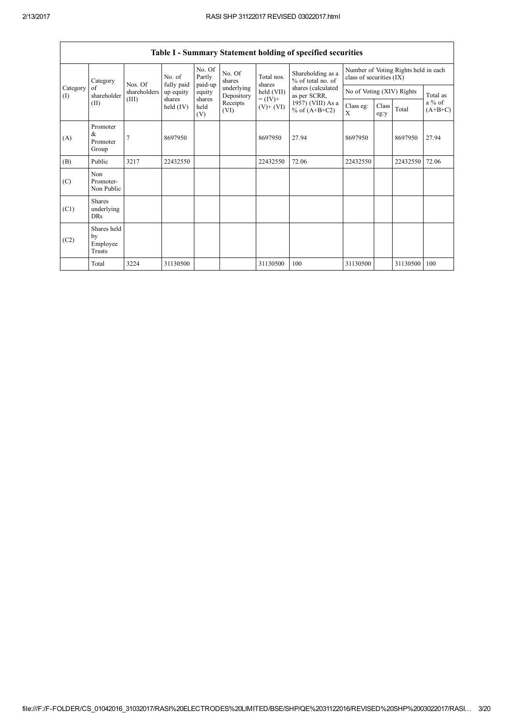|                 |                                           |                |                      |                             |                          |                                            | Table I - Summary Statement holding of specified securities                |                                                                  |               |          |                       |
|-----------------|-------------------------------------------|----------------|----------------------|-----------------------------|--------------------------|--------------------------------------------|----------------------------------------------------------------------------|------------------------------------------------------------------|---------------|----------|-----------------------|
|                 | Category                                  | Nos. Of        | No. of<br>fully paid | No. Of<br>Partly<br>paid-up | No. Of<br>shares         | Total nos.<br>shares                       | Shareholding as a<br>% of total no. of                                     | Number of Voting Rights held in each<br>class of securities (IX) |               |          |                       |
| Category<br>(1) | of<br>shareholder                         | shareholders   | up equity<br>shares  | equity<br>shares            | underlying<br>Depository | held (VII)<br>$= (IV) +$<br>$(V)$ + $(VI)$ | shares (calculated<br>as per SCRR,<br>1957) (VIII) As a<br>% of $(A+B+C2)$ | No of Voting (XIV) Rights                                        |               |          | Total as              |
| (II)            |                                           | (III)          | held $(IV)$          | held<br>(V)                 | Receipts<br>(VI)         |                                            |                                                                            | Class eg:<br>X                                                   | Class<br>eg:y | Total    | $a\%$ of<br>$(A+B+C)$ |
| (A)             | Promoter<br>&<br>Promoter<br>Group        | $\overline{7}$ | 8697950              |                             |                          | 8697950                                    | 27.94                                                                      | 8697950                                                          |               | 8697950  | 27.94                 |
| (B)             | Public                                    | 3217           | 22432550             |                             |                          | 22432550                                   | 72.06                                                                      | 22432550                                                         |               | 22432550 | 72.06                 |
| (C)             | Non<br>Promoter-<br>Non Public            |                |                      |                             |                          |                                            |                                                                            |                                                                  |               |          |                       |
| (C1)            | <b>Shares</b><br>underlying<br><b>DRs</b> |                |                      |                             |                          |                                            |                                                                            |                                                                  |               |          |                       |
| (C2)            | Shares held<br>by<br>Employee<br>Trusts   |                |                      |                             |                          |                                            |                                                                            |                                                                  |               |          |                       |
|                 | Total                                     | 3224           | 31130500             |                             |                          | 31130500                                   | 100                                                                        | 31130500                                                         |               | 31130500 | 100                   |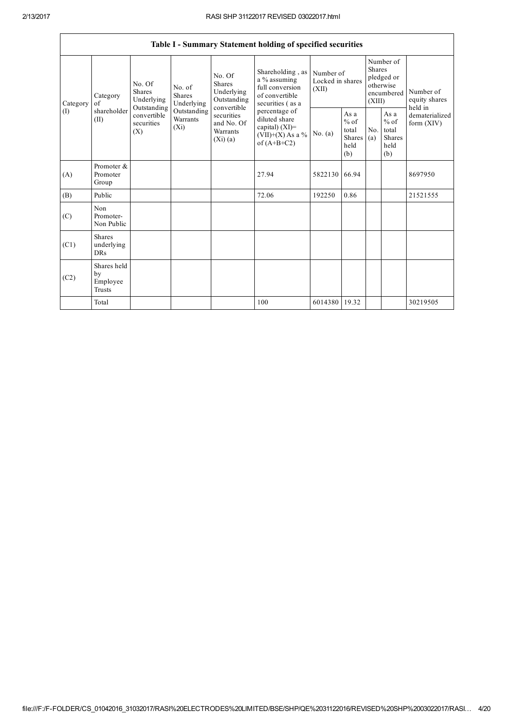|                   | Table I - Summary Statement holding of specified securities |                                                                                |             |                                                              |                                                                                            |                                        |                                                         |                                                                               |                                                           |                                       |
|-------------------|-------------------------------------------------------------|--------------------------------------------------------------------------------|-------------|--------------------------------------------------------------|--------------------------------------------------------------------------------------------|----------------------------------------|---------------------------------------------------------|-------------------------------------------------------------------------------|-----------------------------------------------------------|---------------------------------------|
| Category<br>$($ I | Category<br>of<br>shareholder<br>(II)                       | No. Of<br>No. of<br><b>Shares</b><br><b>Shares</b><br>Underlying<br>Underlying |             | No. Of<br>Shares<br>Underlying<br>Outstanding<br>convertible | Shareholding, as<br>a % assuming<br>full conversion<br>of convertible<br>securities (as a  | Number of<br>Locked in shares<br>(XII) |                                                         | Number of<br><b>Shares</b><br>pledged or<br>otherwise<br>encumbered<br>(XIII) |                                                           | Number of<br>equity shares<br>held in |
|                   |                                                             | Outstanding<br>convertible<br>Warrants<br>securities<br>$(X_i)$<br>(X)         | Outstanding | securities<br>and No. Of<br>Warrants<br>$(Xi)$ (a)           | percentage of<br>diluted share<br>capital) $(XI)$ =<br>$(VII)+(X)$ As a %<br>of $(A+B+C2)$ | No. (a)                                | As a<br>$%$ of<br>total<br><b>Shares</b><br>held<br>(b) | No.<br>(a)                                                                    | As $a$<br>$%$ of<br>total<br><b>Shares</b><br>held<br>(b) | dematerialized<br>form $(XIV)$        |
| (A)               | Promoter &<br>Promoter<br>Group                             |                                                                                |             |                                                              | 27.94                                                                                      | 5822130 66.94                          |                                                         |                                                                               |                                                           | 8697950                               |
| (B)               | Public                                                      |                                                                                |             |                                                              | 72.06                                                                                      | 192250                                 | 0.86                                                    |                                                                               |                                                           | 21521555                              |
| (C)               | Non<br>Promoter-<br>Non Public                              |                                                                                |             |                                                              |                                                                                            |                                        |                                                         |                                                                               |                                                           |                                       |
| (C1)              | <b>Shares</b><br>underlying<br><b>DRs</b>                   |                                                                                |             |                                                              |                                                                                            |                                        |                                                         |                                                                               |                                                           |                                       |
| (C2)              | Shares held<br>by<br>Employee<br><b>Trusts</b>              |                                                                                |             |                                                              |                                                                                            |                                        |                                                         |                                                                               |                                                           |                                       |
|                   | Total                                                       |                                                                                |             |                                                              | 100                                                                                        | 6014380 19.32                          |                                                         |                                                                               |                                                           | 30219505                              |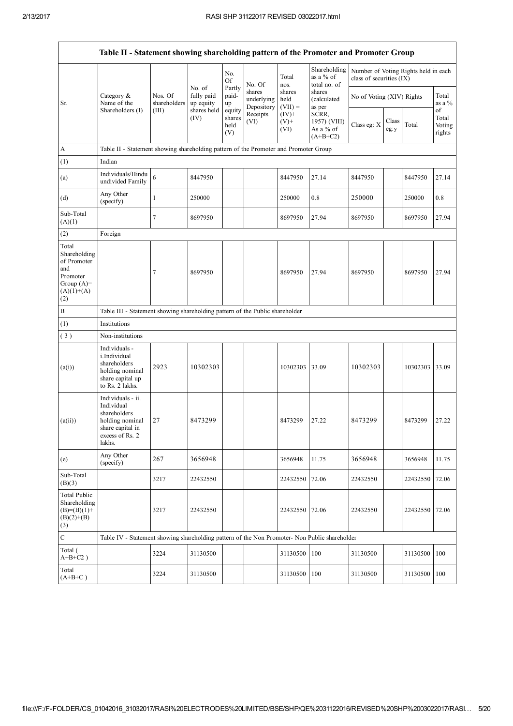|                                                                                                |                                                                                                                     | Table II - Statement showing shareholding pattern of the Promoter and Promoter Group |                                   |                                 |                                    |                             |                                                  |                                                                  |               |                |                                 |
|------------------------------------------------------------------------------------------------|---------------------------------------------------------------------------------------------------------------------|--------------------------------------------------------------------------------------|-----------------------------------|---------------------------------|------------------------------------|-----------------------------|--------------------------------------------------|------------------------------------------------------------------|---------------|----------------|---------------------------------|
|                                                                                                |                                                                                                                     |                                                                                      |                                   | No.<br>Of                       | No. Of                             | Total<br>nos.               | Shareholding<br>as a % of<br>total no. of        | Number of Voting Rights held in each<br>class of securities (IX) |               |                |                                 |
| Sr.                                                                                            | Category &<br>Name of the                                                                                           | Nos. Of<br>shareholders                                                              | No. of<br>fully paid<br>up equity | Partly<br>paid-<br>up           | shares<br>underlying<br>Depository | shares<br>held<br>$(VII) =$ | shares<br>(calculated<br>as per                  | No of Voting (XIV) Rights                                        |               |                | Total<br>as a $%$               |
|                                                                                                | Shareholders (I)                                                                                                    | (III)                                                                                | shares held<br>(IV)               | equity<br>shares<br>held<br>(V) | Receipts<br>(VI)                   | $(IV)+$<br>$(V)$ +<br>(VI)  | SCRR,<br>1957) (VIII)<br>As a % of<br>$(A+B+C2)$ | Class eg: X                                                      | Class<br>eg:y | Total          | of<br>Total<br>Voting<br>rights |
| A                                                                                              | Table II - Statement showing shareholding pattern of the Promoter and Promoter Group                                |                                                                                      |                                   |                                 |                                    |                             |                                                  |                                                                  |               |                |                                 |
| (1)                                                                                            | Indian                                                                                                              |                                                                                      |                                   |                                 |                                    |                             |                                                  |                                                                  |               |                |                                 |
| (a)                                                                                            | Individuals/Hindu<br>undivided Family                                                                               | 6                                                                                    | 8447950                           |                                 |                                    | 8447950                     | 27.14                                            | 8447950                                                          |               | 8447950        | 27.14                           |
| (d)                                                                                            | Any Other<br>(specify)                                                                                              | 1                                                                                    | 250000                            |                                 |                                    | 250000                      | 0.8                                              | 250000                                                           |               | 250000         | 0.8                             |
| Sub-Total<br>(A)(1)                                                                            |                                                                                                                     | 7                                                                                    | 8697950                           |                                 |                                    | 8697950                     | 27.94                                            | 8697950                                                          |               | 8697950        | 27.94                           |
| (2)                                                                                            | Foreign                                                                                                             |                                                                                      |                                   |                                 |                                    |                             |                                                  |                                                                  |               |                |                                 |
| Total<br>Shareholding<br>of Promoter<br>and<br>Promoter<br>Group $(A)=$<br>$(A)(1)+(A)$<br>(2) |                                                                                                                     | 7                                                                                    | 8697950                           |                                 |                                    | 8697950                     | 27.94                                            | 8697950                                                          |               | 8697950        | 27.94                           |
| B                                                                                              | Table III - Statement showing shareholding pattern of the Public shareholder                                        |                                                                                      |                                   |                                 |                                    |                             |                                                  |                                                                  |               |                |                                 |
| (1)                                                                                            | Institutions                                                                                                        |                                                                                      |                                   |                                 |                                    |                             |                                                  |                                                                  |               |                |                                 |
| (3)                                                                                            | Non-institutions                                                                                                    |                                                                                      |                                   |                                 |                                    |                             |                                                  |                                                                  |               |                |                                 |
| (a(i))                                                                                         | Individuals -<br>i.Individual<br>shareholders<br>holding nominal<br>share capital up<br>to Rs. 2 lakhs.             | 2923                                                                                 | 10302303                          |                                 |                                    | 10302303                    | 33.09                                            | 10302303                                                         |               | 10302303       | 33.09                           |
| (a(ii))                                                                                        | Individuals - ii.<br>Individual<br>shareholders<br>holding nominal<br>share capital in<br>excess of Rs. 2<br>lakhs. | 27                                                                                   | 8473299                           |                                 |                                    | 8473299                     | 27.22                                            | 8473299                                                          |               | 8473299        | 27.22                           |
| (e)                                                                                            | Any Other<br>(specify)                                                                                              | 267                                                                                  | 3656948                           |                                 |                                    | 3656948                     | 11.75                                            | 3656948                                                          |               | 3656948        | 11.75                           |
| Sub-Total<br>(B)(3)                                                                            |                                                                                                                     | 3217                                                                                 | 22432550                          |                                 |                                    | 22432550                    | 72.06                                            | 22432550                                                         |               | 22432550       | 72.06                           |
| <b>Total Public</b><br>Shareholding<br>$(B)=(B)(1)+$<br>$(B)(2)+(B)$<br>(3)                    |                                                                                                                     | 3217                                                                                 | 22432550                          |                                 |                                    | 22432550                    | 72.06                                            | 22432550                                                         |               | 22432550 72.06 |                                 |
| $\mathbf C$                                                                                    | Table IV - Statement showing shareholding pattern of the Non Promoter- Non Public shareholder                       |                                                                                      |                                   |                                 |                                    |                             |                                                  |                                                                  |               |                |                                 |
| Total (<br>$A+B+C2$ )                                                                          |                                                                                                                     | 3224                                                                                 | 31130500                          |                                 |                                    | 31130500                    | 100                                              | 31130500                                                         |               | 31130500       | 100                             |
| Total<br>$(A+B+C)$                                                                             |                                                                                                                     | 3224                                                                                 | 31130500                          |                                 |                                    | 31130500                    | 100                                              | 31130500                                                         |               | 31130500       | 100                             |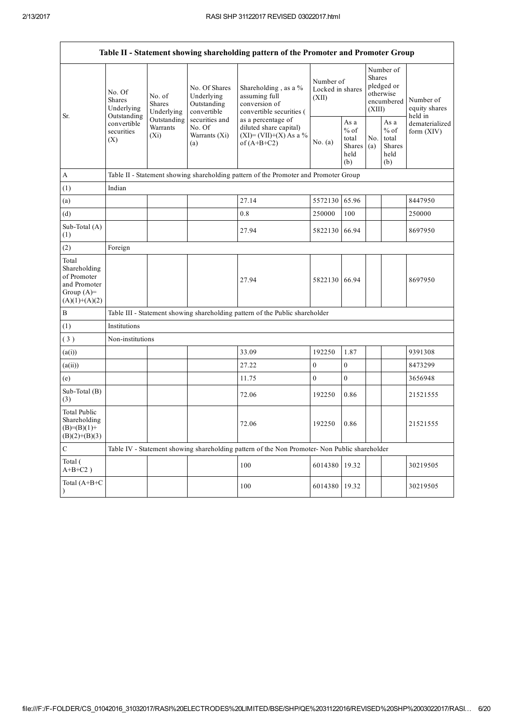|                                                                                         |                                                                                          |                                       |                                                           | Table II - Statement showing shareholding pattern of the Promoter and Promoter Group          |                                        |                                                  |                                                                        |                                                  |                                       |
|-----------------------------------------------------------------------------------------|------------------------------------------------------------------------------------------|---------------------------------------|-----------------------------------------------------------|-----------------------------------------------------------------------------------------------|----------------------------------------|--------------------------------------------------|------------------------------------------------------------------------|--------------------------------------------------|---------------------------------------|
| Sr.                                                                                     | No. Of<br><b>Shares</b><br>Underlying<br>Outstanding<br>convertible<br>securities<br>(X) | No. of<br><b>Shares</b><br>Underlying | No. Of Shares<br>Underlying<br>Outstanding<br>convertible | Shareholding, as a %<br>assuming full<br>conversion of<br>convertible securities (            | Number of<br>Locked in shares<br>(XII) |                                                  | Number of<br>Shares<br>pledged or<br>otherwise<br>encumbered<br>(XIII) |                                                  | Number of<br>equity shares<br>held in |
|                                                                                         |                                                                                          | Outstanding<br>Warrants<br>$(X_i)$    | securities and<br>No. Of<br>Warrants (Xi)<br>(a)          | as a percentage of<br>diluted share capital)<br>$(XI) = (VII)+(X) As a %$<br>of $(A+B+C2)$    | No. $(a)$                              | As a<br>$%$ of<br>total<br>Shares<br>held<br>(b) | No.<br>(a)                                                             | As a<br>$%$ of<br>total<br>Shares<br>held<br>(b) | dematerialized<br>form (XIV)          |
| А                                                                                       |                                                                                          |                                       |                                                           | Table II - Statement showing shareholding pattern of the Promoter and Promoter Group          |                                        |                                                  |                                                                        |                                                  |                                       |
| (1)                                                                                     | Indian                                                                                   |                                       |                                                           |                                                                                               |                                        |                                                  |                                                                        |                                                  |                                       |
| (a)                                                                                     |                                                                                          |                                       |                                                           | 27.14                                                                                         | 5572130 65.96                          |                                                  |                                                                        |                                                  | 8447950                               |
| (d)                                                                                     |                                                                                          |                                       |                                                           | 0.8                                                                                           | 250000                                 | 100                                              |                                                                        |                                                  | 250000                                |
| Sub-Total (A)<br>(1)                                                                    |                                                                                          |                                       |                                                           | 27.94                                                                                         | 5822130                                | 66.94                                            |                                                                        |                                                  | 8697950                               |
| (2)                                                                                     | Foreign                                                                                  |                                       |                                                           |                                                                                               |                                        |                                                  |                                                                        |                                                  |                                       |
| Total<br>Shareholding<br>of Promoter<br>and Promoter<br>Group $(A)=$<br>$(A)(1)+(A)(2)$ |                                                                                          |                                       |                                                           | 27.94                                                                                         | 5822130 66.94                          |                                                  |                                                                        |                                                  | 8697950                               |
| B                                                                                       |                                                                                          |                                       |                                                           | Table III - Statement showing shareholding pattern of the Public shareholder                  |                                        |                                                  |                                                                        |                                                  |                                       |
| (1)                                                                                     | Institutions                                                                             |                                       |                                                           |                                                                                               |                                        |                                                  |                                                                        |                                                  |                                       |
| (3)                                                                                     | Non-institutions                                                                         |                                       |                                                           |                                                                                               |                                        |                                                  |                                                                        |                                                  |                                       |
| (a(i))                                                                                  |                                                                                          |                                       |                                                           | 33.09                                                                                         | 192250                                 | 1.87                                             |                                                                        |                                                  | 9391308                               |
| (a(ii))                                                                                 |                                                                                          |                                       |                                                           | 27.22                                                                                         | $\mathbf{0}$                           | $\overline{0}$                                   |                                                                        |                                                  | 8473299                               |
| (e)                                                                                     |                                                                                          |                                       |                                                           | 11.75                                                                                         | $\overline{0}$                         | $\boldsymbol{0}$                                 |                                                                        |                                                  | 3656948                               |
| Sub-Total (B)<br>(3)                                                                    |                                                                                          |                                       |                                                           | 72.06                                                                                         | 192250                                 | 0.86                                             |                                                                        |                                                  | 21521555                              |
| <b>Total Public</b><br>Shareholding<br>$(B)=(B)(1)+$<br>$(B)(2)+(B)(3)$                 |                                                                                          |                                       |                                                           | 72.06                                                                                         | 192250                                 | 0.86                                             |                                                                        |                                                  | 21521555                              |
| $\mathbf C$                                                                             |                                                                                          |                                       |                                                           | Table IV - Statement showing shareholding pattern of the Non Promoter- Non Public shareholder |                                        |                                                  |                                                                        |                                                  |                                       |
| Total (<br>$A+B+C2$ )                                                                   |                                                                                          |                                       |                                                           | 100                                                                                           | 6014380                                | 19.32                                            |                                                                        |                                                  | 30219505                              |
| Total (A+B+C                                                                            |                                                                                          |                                       |                                                           | 100                                                                                           | 6014380                                | 19.32                                            |                                                                        |                                                  | 30219505                              |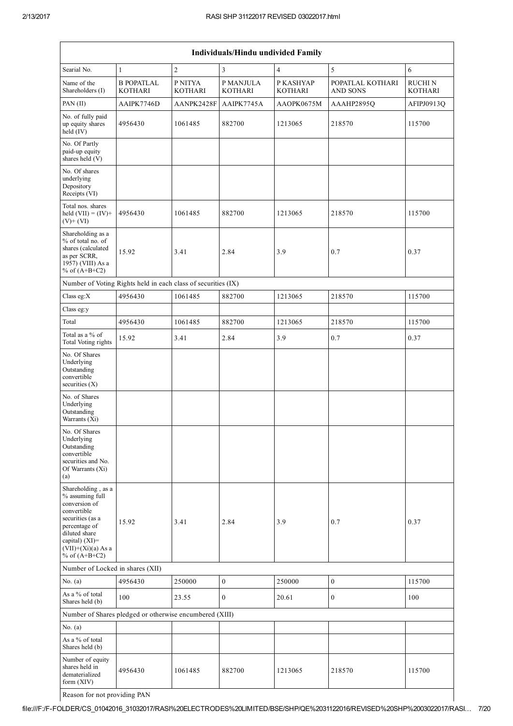| Individuals/Hindu undivided Family                                                                                                                                                          |                                                               |                           |                             |                             |                                     |                                  |  |  |  |
|---------------------------------------------------------------------------------------------------------------------------------------------------------------------------------------------|---------------------------------------------------------------|---------------------------|-----------------------------|-----------------------------|-------------------------------------|----------------------------------|--|--|--|
| Searial No.                                                                                                                                                                                 | $\mathbf{1}$                                                  | $\overline{2}$            | $\overline{3}$              | $\overline{4}$              | 5                                   | 6                                |  |  |  |
| Name of the<br>Shareholders (I)                                                                                                                                                             | <b>B POPATLAL</b><br><b>KOTHARI</b>                           | P NITYA<br><b>KOTHARI</b> | P MANJULA<br><b>KOTHARI</b> | P KASHYAP<br><b>KOTHARI</b> | POPATLAL KOTHARI<br><b>AND SONS</b> | <b>RUCHI N</b><br><b>KOTHARI</b> |  |  |  |
| PAN (II)                                                                                                                                                                                    | AAIPK7746D                                                    | AANPK2428F                | AAIPK7745A                  | AAOPK0675M                  | AAAHP2895Q                          | AFIPJ0913Q                       |  |  |  |
| No. of fully paid<br>up equity shares<br>held (IV)                                                                                                                                          | 4956430                                                       | 1061485                   | 882700                      | 1213065                     | 218570                              | 115700                           |  |  |  |
| No. Of Partly<br>paid-up equity<br>shares held (V)                                                                                                                                          |                                                               |                           |                             |                             |                                     |                                  |  |  |  |
| No. Of shares<br>underlying<br>Depository<br>Receipts (VI)                                                                                                                                  |                                                               |                           |                             |                             |                                     |                                  |  |  |  |
| Total nos. shares<br>held $(VII) = (IV) +$<br>$(V)$ + $(VI)$                                                                                                                                | 4956430                                                       | 1061485                   | 882700                      | 1213065                     | 218570                              | 115700                           |  |  |  |
| Shareholding as a<br>% of total no. of<br>shares (calculated<br>as per SCRR,<br>1957) (VIII) As a<br>% of $(A+B+C2)$                                                                        | 15.92                                                         | 3.41                      | 2.84                        | 3.9                         | 0.7                                 | 0.37                             |  |  |  |
|                                                                                                                                                                                             | Number of Voting Rights held in each class of securities (IX) |                           |                             |                             |                                     |                                  |  |  |  |
| Class eg:X                                                                                                                                                                                  | 4956430                                                       | 1061485                   | 882700                      | 1213065                     | 218570                              | 115700                           |  |  |  |
| Class eg:y                                                                                                                                                                                  |                                                               |                           |                             |                             |                                     |                                  |  |  |  |
| Total                                                                                                                                                                                       | 4956430                                                       | 1061485                   | 882700                      | 1213065                     | 218570                              | 115700                           |  |  |  |
| Total as a % of<br>Total Voting rights                                                                                                                                                      | 15.92                                                         | 3.41                      | 2.84                        | 3.9                         | 0.7                                 | 0.37                             |  |  |  |
| No. Of Shares<br>Underlying<br>Outstanding<br>convertible<br>securities (X)                                                                                                                 |                                                               |                           |                             |                             |                                     |                                  |  |  |  |
| No. of Shares<br>Underlying<br>Outstanding<br>Warrants (Xi)                                                                                                                                 |                                                               |                           |                             |                             |                                     |                                  |  |  |  |
| No. Of Shares<br>Underlying<br>Outstanding<br>convertible<br>securities and No.<br>Of Warrants (Xi)<br>(a)                                                                                  |                                                               |                           |                             |                             |                                     |                                  |  |  |  |
| Shareholding, as a<br>% assuming full<br>conversion of<br>convertible<br>securities (as a<br>percentage of<br>diluted share<br>capital) $(XI)$ =<br>$(VII)+(Xi)(a)$ As a<br>% of $(A+B+C2)$ | 15.92                                                         | 3.41                      | 2.84                        | 3.9                         | 0.7                                 | 0.37                             |  |  |  |
| Number of Locked in shares (XII)                                                                                                                                                            |                                                               |                           |                             |                             |                                     |                                  |  |  |  |
| No. $(a)$                                                                                                                                                                                   | 4956430                                                       | 250000                    | $\mathbf{0}$                | 250000                      | $\mathbf{0}$                        | 115700                           |  |  |  |
| As a % of total<br>Shares held (b)                                                                                                                                                          | 100                                                           | 23.55                     | $\overline{0}$              | 20.61                       | $\mathbf{0}$                        | 100                              |  |  |  |
|                                                                                                                                                                                             | Number of Shares pledged or otherwise encumbered (XIII)       |                           |                             |                             |                                     |                                  |  |  |  |
| No. $(a)$                                                                                                                                                                                   |                                                               |                           |                             |                             |                                     |                                  |  |  |  |
| As a % of total<br>Shares held (b)                                                                                                                                                          |                                                               |                           |                             |                             |                                     |                                  |  |  |  |
| Number of equity<br>shares held in<br>dematerialized<br>form (XIV)                                                                                                                          | 4956430                                                       | 1061485                   | 882700                      | 1213065                     | 218570                              | 115700                           |  |  |  |

Reason for not providing PAN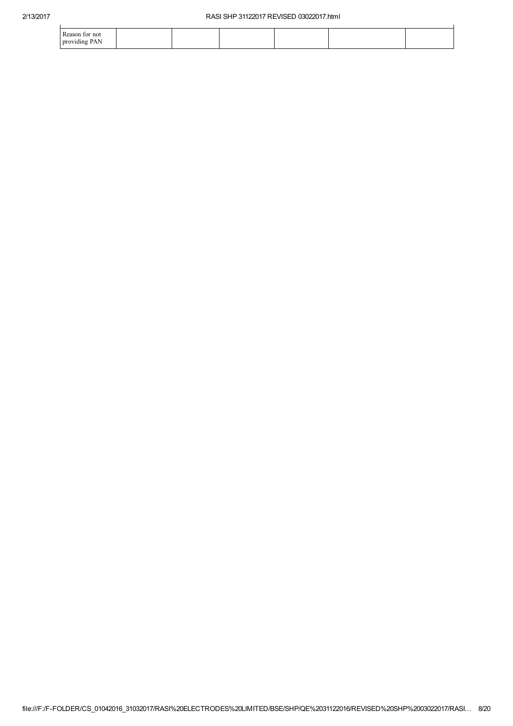| Reason for not |  |  |  |
|----------------|--|--|--|
| providing PAN  |  |  |  |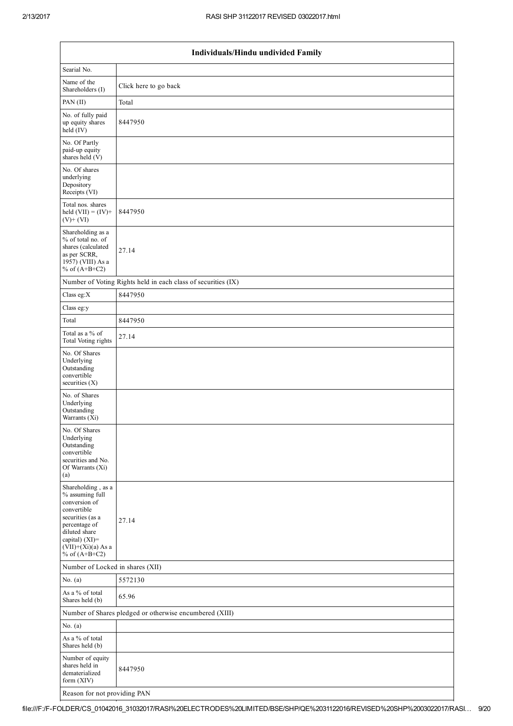|                                                                                                                                                                                          | Individuals/Hindu undivided Family                            |  |  |  |  |  |  |
|------------------------------------------------------------------------------------------------------------------------------------------------------------------------------------------|---------------------------------------------------------------|--|--|--|--|--|--|
| Searial No.                                                                                                                                                                              |                                                               |  |  |  |  |  |  |
| Name of the<br>Shareholders (I)                                                                                                                                                          | Click here to go back                                         |  |  |  |  |  |  |
| PAN (II)                                                                                                                                                                                 | Total                                                         |  |  |  |  |  |  |
| No. of fully paid<br>up equity shares<br>held (IV)                                                                                                                                       | 8447950                                                       |  |  |  |  |  |  |
| No. Of Partly<br>paid-up equity<br>shares held (V)                                                                                                                                       |                                                               |  |  |  |  |  |  |
| No. Of shares<br>underlying<br>Depository<br>Receipts (VI)                                                                                                                               |                                                               |  |  |  |  |  |  |
| Total nos. shares<br>held $(VII) = (IV) +$<br>$(V)+(VI)$                                                                                                                                 | 8447950                                                       |  |  |  |  |  |  |
| Shareholding as a<br>% of total no. of<br>shares (calculated<br>as per SCRR,<br>1957) (VIII) As a<br>% of $(A+B+C2)$                                                                     | 27.14                                                         |  |  |  |  |  |  |
|                                                                                                                                                                                          | Number of Voting Rights held in each class of securities (IX) |  |  |  |  |  |  |
| Class eg:X                                                                                                                                                                               | 8447950                                                       |  |  |  |  |  |  |
| Class eg:y                                                                                                                                                                               |                                                               |  |  |  |  |  |  |
| Total                                                                                                                                                                                    | 8447950                                                       |  |  |  |  |  |  |
| Total as a % of<br>Total Voting rights                                                                                                                                                   | 27.14                                                         |  |  |  |  |  |  |
| No. Of Shares<br>Underlying<br>Outstanding<br>convertible<br>securities (X)                                                                                                              |                                                               |  |  |  |  |  |  |
| No. of Shares<br>Underlying<br>Outstanding<br>Warrants (Xi)                                                                                                                              |                                                               |  |  |  |  |  |  |
| No. Of Shares<br>Underlying<br>Outstanding<br>convertible<br>securities and No.<br>Of Warrants (Xi)<br>(a)                                                                               |                                                               |  |  |  |  |  |  |
| Shareholding, as a<br>% assuming full<br>conversion of<br>convertible<br>securities (as a<br>percentage of<br>diluted share<br>capital) (XI)=<br>$(VII)+(Xi)(a)$ As a<br>% of $(A+B+C2)$ | 27.14                                                         |  |  |  |  |  |  |
| Number of Locked in shares (XII)                                                                                                                                                         |                                                               |  |  |  |  |  |  |
| No. $(a)$                                                                                                                                                                                | 5572130                                                       |  |  |  |  |  |  |
| As a % of total<br>Shares held (b)                                                                                                                                                       | 65.96                                                         |  |  |  |  |  |  |
|                                                                                                                                                                                          | Number of Shares pledged or otherwise encumbered (XIII)       |  |  |  |  |  |  |
| No. $(a)$                                                                                                                                                                                |                                                               |  |  |  |  |  |  |
| As a % of total<br>Shares held (b)                                                                                                                                                       |                                                               |  |  |  |  |  |  |
| Number of equity<br>shares held in<br>dematerialized<br>form (XIV)                                                                                                                       | 8447950                                                       |  |  |  |  |  |  |
| Reason for not providing PAN                                                                                                                                                             |                                                               |  |  |  |  |  |  |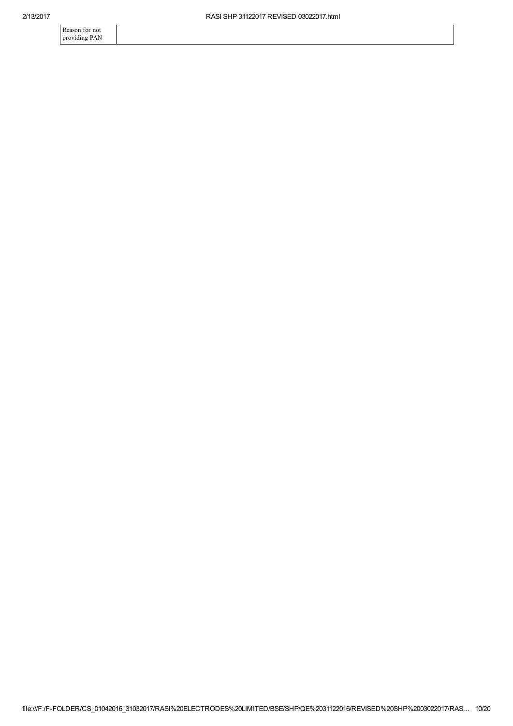Reason for not providing PAN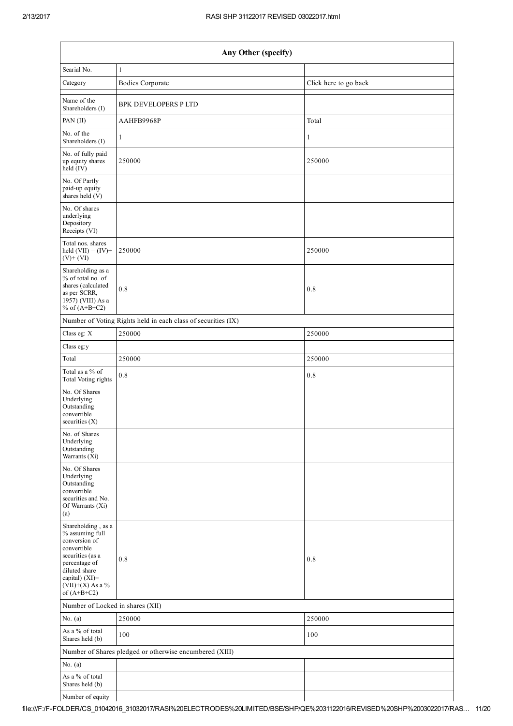|                                                                                                                                                                                      | Any Other (specify)                                           |                       |  |  |  |  |  |  |  |  |
|--------------------------------------------------------------------------------------------------------------------------------------------------------------------------------------|---------------------------------------------------------------|-----------------------|--|--|--|--|--|--|--|--|
| Searial No.                                                                                                                                                                          | $\mathbf{1}$                                                  |                       |  |  |  |  |  |  |  |  |
| Category                                                                                                                                                                             | <b>Bodies Corporate</b>                                       | Click here to go back |  |  |  |  |  |  |  |  |
| Name of the<br>Shareholders (I)                                                                                                                                                      | <b>BPK DEVELOPERS P LTD</b>                                   |                       |  |  |  |  |  |  |  |  |
| PAN (II)                                                                                                                                                                             | AAHFB9968P                                                    | Total                 |  |  |  |  |  |  |  |  |
| No. of the<br>Shareholders (I)                                                                                                                                                       | 1                                                             | 1                     |  |  |  |  |  |  |  |  |
| No. of fully paid<br>up equity shares<br>held (IV)                                                                                                                                   | 250000                                                        | 250000                |  |  |  |  |  |  |  |  |
| No. Of Partly<br>paid-up equity<br>shares held (V)                                                                                                                                   |                                                               |                       |  |  |  |  |  |  |  |  |
| No. Of shares<br>underlying<br>Depository<br>Receipts (VI)                                                                                                                           |                                                               |                       |  |  |  |  |  |  |  |  |
| Total nos. shares<br>held $(VII) = (IV) +$<br>$(V)$ + $(VI)$                                                                                                                         | 250000                                                        | 250000                |  |  |  |  |  |  |  |  |
| Shareholding as a<br>% of total no. of<br>shares (calculated<br>as per SCRR,<br>1957) (VIII) As a<br>% of $(A+B+C2)$                                                                 | 0.8                                                           | 0.8                   |  |  |  |  |  |  |  |  |
|                                                                                                                                                                                      | Number of Voting Rights held in each class of securities (IX) |                       |  |  |  |  |  |  |  |  |
| Class eg: X                                                                                                                                                                          | 250000                                                        | 250000                |  |  |  |  |  |  |  |  |
| Class eg:y                                                                                                                                                                           |                                                               |                       |  |  |  |  |  |  |  |  |
| Total                                                                                                                                                                                | 250000                                                        | 250000                |  |  |  |  |  |  |  |  |
| Total as a % of<br>Total Voting rights                                                                                                                                               | 0.8                                                           | 0.8                   |  |  |  |  |  |  |  |  |
| No. Of Shares<br>Underlying<br>Outstanding<br>convertible<br>securities (X)                                                                                                          |                                                               |                       |  |  |  |  |  |  |  |  |
| No. of Shares<br>Underlying<br>Outstanding<br>Warrants (Xi)                                                                                                                          |                                                               |                       |  |  |  |  |  |  |  |  |
| No. Of Shares<br>Underlying<br>Outstanding<br>convertible<br>securities and No.<br>Of Warrants (Xi)<br>(a)                                                                           |                                                               |                       |  |  |  |  |  |  |  |  |
| Shareholding, as a<br>% assuming full<br>conversion of<br>convertible<br>securities (as a<br>percentage of<br>diluted share<br>capital) (XI)=<br>$(VII)+(X)$ As a %<br>of $(A+B+C2)$ | $0.8\,$                                                       | $0.8\,$               |  |  |  |  |  |  |  |  |
| Number of Locked in shares (XII)                                                                                                                                                     |                                                               |                       |  |  |  |  |  |  |  |  |
| No. $(a)$                                                                                                                                                                            | 250000                                                        | 250000                |  |  |  |  |  |  |  |  |
| As a % of total<br>Shares held (b)                                                                                                                                                   | 100                                                           | 100                   |  |  |  |  |  |  |  |  |
|                                                                                                                                                                                      | Number of Shares pledged or otherwise encumbered (XIII)       |                       |  |  |  |  |  |  |  |  |
| No. $(a)$                                                                                                                                                                            |                                                               |                       |  |  |  |  |  |  |  |  |
| As a % of total<br>Shares held (b)                                                                                                                                                   |                                                               |                       |  |  |  |  |  |  |  |  |
| Number of equity                                                                                                                                                                     |                                                               |                       |  |  |  |  |  |  |  |  |

Number of equity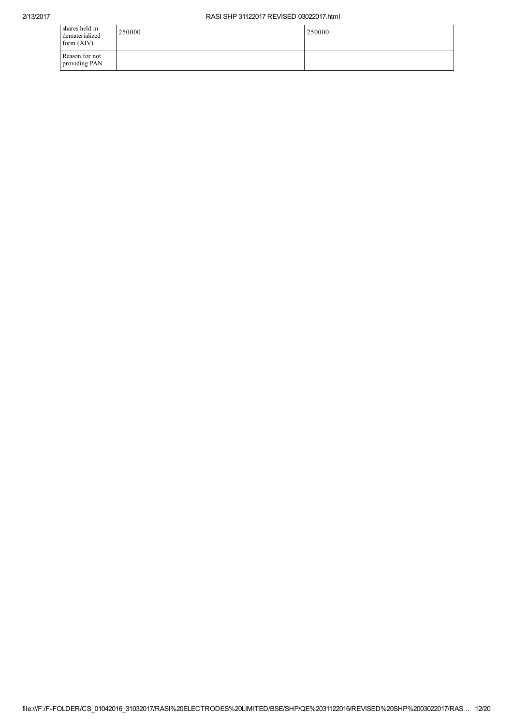| shares held in<br>dematerialized<br>form $(XIV)$ | 250000 | 250000 |
|--------------------------------------------------|--------|--------|
| Reason for not<br>providing PAN                  |        |        |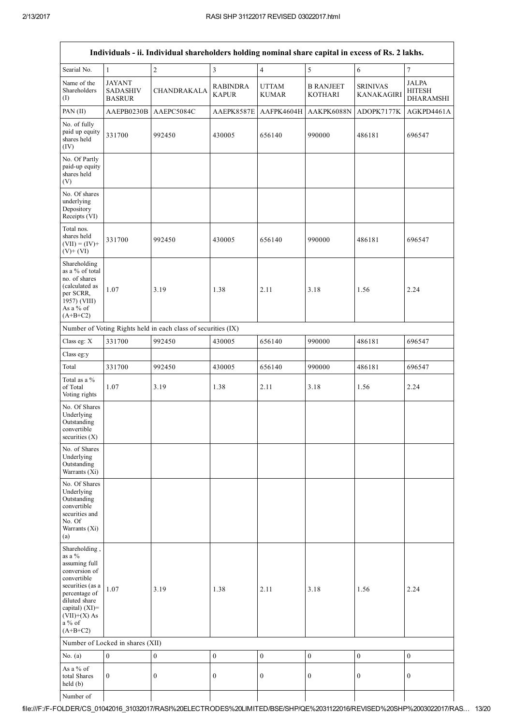|                                                                                                                                                                                                    | Individuals - ii. Individual shareholders holding nominal share capital in excess of Rs. 2 lakhs. |                                                               |                                 |                              |                                    |                                      |                                                   |  |  |
|----------------------------------------------------------------------------------------------------------------------------------------------------------------------------------------------------|---------------------------------------------------------------------------------------------------|---------------------------------------------------------------|---------------------------------|------------------------------|------------------------------------|--------------------------------------|---------------------------------------------------|--|--|
| Searial No.                                                                                                                                                                                        | $\mathbf{1}$                                                                                      | $\overline{c}$                                                | $\overline{3}$                  | $\overline{4}$               | 5                                  | $\sqrt{6}$                           | $\overline{7}$                                    |  |  |
| Name of the<br>Shareholders<br>(I)                                                                                                                                                                 | <b>JAYANT</b><br><b>SADASHIV</b><br><b>BASRUR</b>                                                 | CHANDRAKALA                                                   | <b>RABINDRA</b><br><b>KAPUR</b> | <b>UTTAM</b><br><b>KUMAR</b> | <b>B RANJEET</b><br><b>KOTHARI</b> | <b>SRINIVAS</b><br><b>KANAKAGIRI</b> | <b>JALPA</b><br><b>HITESH</b><br><b>DHARAMSHI</b> |  |  |
| PAN (II)                                                                                                                                                                                           | AAEPB0230B                                                                                        | AAEPC5084C                                                    | AAEPK8587E                      | AAFPK4604H                   | AAKPK6088N                         | ADOPK7177K                           | AGKPD4461A                                        |  |  |
| No. of fully<br>paid up equity<br>shares held<br>(IV)                                                                                                                                              | 331700                                                                                            | 992450                                                        | 430005                          | 656140                       | 990000                             | 486181                               | 696547                                            |  |  |
| No. Of Partly<br>paid-up equity<br>shares held<br>(V)                                                                                                                                              |                                                                                                   |                                                               |                                 |                              |                                    |                                      |                                                   |  |  |
| No. Of shares<br>underlying<br>Depository<br>Receipts (VI)                                                                                                                                         |                                                                                                   |                                                               |                                 |                              |                                    |                                      |                                                   |  |  |
| Total nos.<br>shares held<br>$(VII) = (IV) +$<br>$(V)+(VI)$                                                                                                                                        | 331700                                                                                            | 992450                                                        | 430005                          | 656140                       | 990000                             | 486181                               | 696547                                            |  |  |
| Shareholding<br>as a % of total<br>no. of shares<br>(calculated as<br>per SCRR,<br>1957) (VIII)<br>As a % of<br>$(A+B+C2)$                                                                         | 1.07                                                                                              | 3.19                                                          | 1.38                            | 2.11                         | 3.18                               | 1.56                                 | 2.24                                              |  |  |
|                                                                                                                                                                                                    |                                                                                                   | Number of Voting Rights held in each class of securities (IX) |                                 |                              |                                    |                                      |                                                   |  |  |
| Class eg: X                                                                                                                                                                                        | 331700                                                                                            | 992450                                                        | 430005                          | 656140                       | 990000                             | 486181                               | 696547                                            |  |  |
| Class eg:y                                                                                                                                                                                         |                                                                                                   |                                                               |                                 |                              |                                    |                                      |                                                   |  |  |
| Total                                                                                                                                                                                              | 331700                                                                                            | 992450                                                        | 430005                          | 656140                       | 990000                             | 486181                               | 696547                                            |  |  |
| Total as a %<br>of Total<br>Voting rights                                                                                                                                                          | 1.07                                                                                              | 3.19                                                          | 1.38                            | 2.11                         | 3.18                               | 1.56                                 | 2.24                                              |  |  |
| No. Of Shares<br>Underlying<br>Outstanding<br>convertible<br>securities $(X)$                                                                                                                      |                                                                                                   |                                                               |                                 |                              |                                    |                                      |                                                   |  |  |
| No. of Shares<br>Underlying<br>Outstanding<br>Warrants (Xi)                                                                                                                                        |                                                                                                   |                                                               |                                 |                              |                                    |                                      |                                                   |  |  |
| No. Of Shares<br>Underlying<br>Outstanding<br>convertible<br>securities and<br>No. Of<br>Warrants (Xi)<br>(a)                                                                                      |                                                                                                   |                                                               |                                 |                              |                                    |                                      |                                                   |  |  |
| Shareholding,<br>as a $\%$<br>assuming full<br>conversion of<br>convertible<br>securities (as a<br>percentage of<br>diluted share<br>capital) $(XI)$ =<br>$(VII)+(X)$ As<br>$a\%$ of<br>$(A+B+C2)$ | 1.07                                                                                              | 3.19                                                          | 1.38                            | 2.11                         | 3.18                               | 1.56                                 | 2.24                                              |  |  |
|                                                                                                                                                                                                    | Number of Locked in shares (XII)                                                                  |                                                               |                                 |                              |                                    |                                      |                                                   |  |  |
| No. $(a)$                                                                                                                                                                                          | $\boldsymbol{0}$                                                                                  | $\overline{0}$                                                | $\boldsymbol{0}$                | $\mathbf{0}$                 | $\boldsymbol{0}$                   | $\boldsymbol{0}$                     | $\boldsymbol{0}$                                  |  |  |
| As a % of<br>total Shares<br>held(b)                                                                                                                                                               | $\boldsymbol{0}$                                                                                  | $\mathbf{0}$                                                  | $\boldsymbol{0}$                | $\mathbf{0}$                 | $\boldsymbol{0}$                   | $\boldsymbol{0}$                     | $\boldsymbol{0}$                                  |  |  |
| Number of                                                                                                                                                                                          |                                                                                                   |                                                               |                                 |                              |                                    |                                      |                                                   |  |  |

file:///F:/FFOLDER/CS\_01042016\_31032017/RASI%20ELECTRODES%20LIMITED/BSE/SHP/QE%2031122016/REVISED%20SHP%2003022017/RAS… 13/20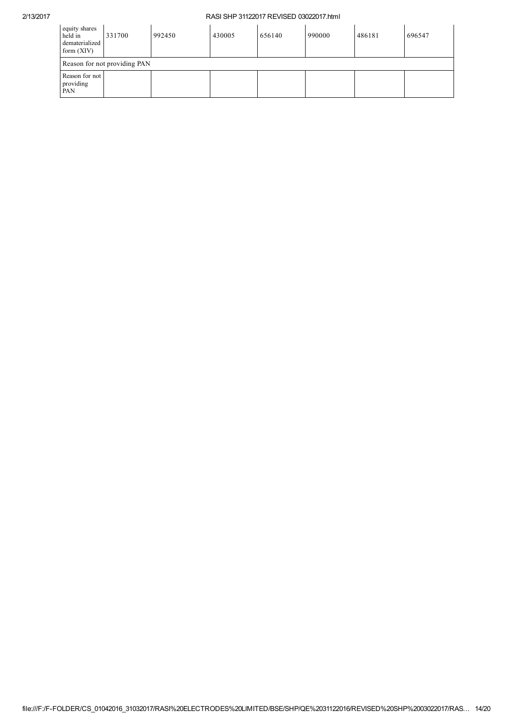## 2/13/2017 RASI SHP 31122017 REVISED 03022017.html

| equity shares<br>held in<br>dematerialized<br>form $(XIV)$ | 331700                       | 992450 | 430005 | 656140 | 990000 | 486181 | 696547 |
|------------------------------------------------------------|------------------------------|--------|--------|--------|--------|--------|--------|
|                                                            | Reason for not providing PAN |        |        |        |        |        |        |
| Reason for not<br>providing<br>PAN                         |                              |        |        |        |        |        |        |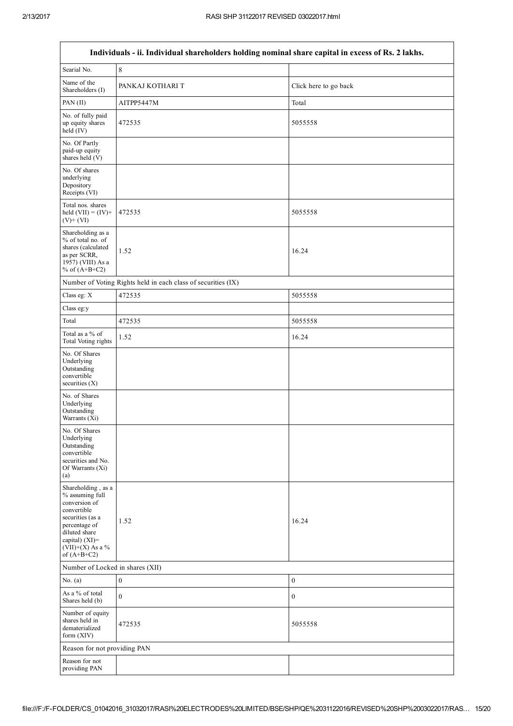$\mathsf{T}$ 

┑

| Individuals - ii. Individual shareholders holding nominal share capital in excess of Rs. 2 lakhs.                                                                                    |                                                               |                       |  |  |  |  |
|--------------------------------------------------------------------------------------------------------------------------------------------------------------------------------------|---------------------------------------------------------------|-----------------------|--|--|--|--|
| Searial No.                                                                                                                                                                          | 8                                                             |                       |  |  |  |  |
| Name of the<br>Shareholders (I)                                                                                                                                                      | PANKAJ KOTHARI T                                              | Click here to go back |  |  |  |  |
| PAN (II)                                                                                                                                                                             | AITPP5447M                                                    | Total                 |  |  |  |  |
| No. of fully paid<br>up equity shares<br>held $(IV)$                                                                                                                                 | 472535                                                        | 5055558               |  |  |  |  |
| No. Of Partly<br>paid-up equity<br>shares held (V)                                                                                                                                   |                                                               |                       |  |  |  |  |
| No. Of shares<br>underlying<br>Depository<br>Receipts (VI)                                                                                                                           |                                                               |                       |  |  |  |  |
| Total nos. shares<br>held $(VII) = (IV) +$<br>$(V) + (VI)$                                                                                                                           | 472535                                                        | 5055558               |  |  |  |  |
| Shareholding as a<br>% of total no. of<br>shares (calculated<br>as per SCRR,<br>1957) (VIII) As a<br>% of $(A+B+C2)$                                                                 | 1.52                                                          | 16.24                 |  |  |  |  |
|                                                                                                                                                                                      | Number of Voting Rights held in each class of securities (IX) |                       |  |  |  |  |
| Class eg: X                                                                                                                                                                          | 472535                                                        | 5055558               |  |  |  |  |
| Class eg:y                                                                                                                                                                           |                                                               |                       |  |  |  |  |
| Total                                                                                                                                                                                | 472535                                                        | 5055558               |  |  |  |  |
| Total as a % of<br>Total Voting rights                                                                                                                                               | 1.52                                                          | 16.24                 |  |  |  |  |
| No. Of Shares<br>Underlying<br>Outstanding<br>convertible<br>securities $(X)$                                                                                                        |                                                               |                       |  |  |  |  |
| No. of Shares<br>Underlying<br>Outstanding<br>Warrants (Xi)                                                                                                                          |                                                               |                       |  |  |  |  |
| No. Of Shares<br>Underlying<br>Outstanding<br>convertible<br>securities and No.<br>Of Warrants (Xi)<br>(a)                                                                           |                                                               |                       |  |  |  |  |
| Shareholding, as a<br>% assuming full<br>conversion of<br>convertible<br>securities (as a<br>percentage of<br>diluted share<br>capital) (XI)=<br>$(VII)+(X)$ As a %<br>of $(A+B+C2)$ | 1.52                                                          | 16.24                 |  |  |  |  |
| Number of Locked in shares (XII)                                                                                                                                                     |                                                               |                       |  |  |  |  |
| No. $(a)$                                                                                                                                                                            | $\boldsymbol{0}$                                              | $\boldsymbol{0}$      |  |  |  |  |
| As a % of total<br>Shares held (b)                                                                                                                                                   | $\mathbf{0}$                                                  | $\boldsymbol{0}$      |  |  |  |  |
| Number of equity<br>shares held in<br>dematerialized<br>form (XIV)                                                                                                                   | 472535                                                        | 5055558               |  |  |  |  |
| Reason for not providing PAN                                                                                                                                                         |                                                               |                       |  |  |  |  |
| Reason for not<br>providing PAN                                                                                                                                                      |                                                               |                       |  |  |  |  |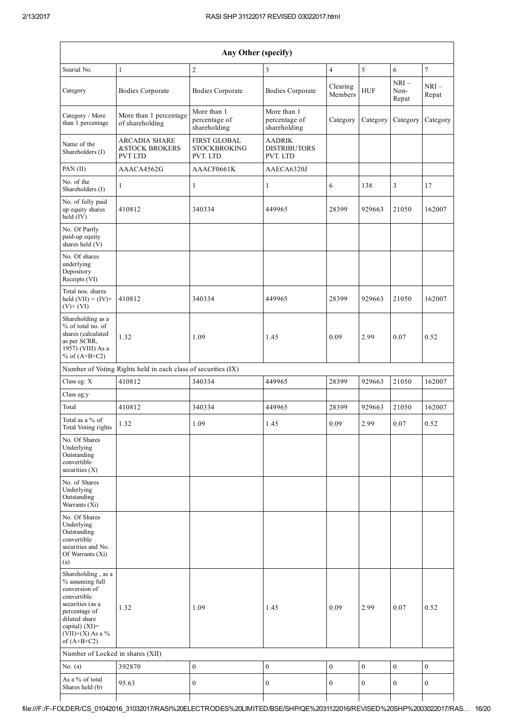| Any Other (specify)                                                                                                                                                                  |                                                                     |                                                         |                                              |                     |                  |                          |                  |
|--------------------------------------------------------------------------------------------------------------------------------------------------------------------------------------|---------------------------------------------------------------------|---------------------------------------------------------|----------------------------------------------|---------------------|------------------|--------------------------|------------------|
| Searial No.                                                                                                                                                                          | $\mathbf{1}$                                                        | $\overline{c}$                                          | 3                                            | $\overline{4}$      | 5                | $\sqrt{6}$               | $\tau$           |
| Category                                                                                                                                                                             | <b>Bodies Corporate</b>                                             | <b>Bodies Corporate</b>                                 | <b>Bodies Corporate</b>                      | Clearing<br>Members | <b>HUF</b>       | $NRI -$<br>Non-<br>Repat | $NRI-$<br>Repat  |
| Category / More<br>than 1 percentage                                                                                                                                                 | More than 1 percentage<br>of shareholding                           | More than 1<br>percentage of<br>shareholding            | More than 1<br>percentage of<br>shareholding | Category            | Category         | Category                 | Category         |
| Name of the<br>Shareholders (I)                                                                                                                                                      | <b>ARCADIA SHARE</b><br><b>&amp;STOCK BROKERS</b><br><b>PVT LTD</b> | <b>FIRST GLOBAL</b><br><b>STOCKBROKING</b><br>PVT. LTD. | <b>AADRIK</b><br>DISTRIBUTORS<br>PVT. LTD    |                     |                  |                          |                  |
| PAN (II)                                                                                                                                                                             | AAACA4562G                                                          | AAACF0661K                                              | AAECA6320J                                   |                     |                  |                          |                  |
| No. of the<br>Shareholders (I)                                                                                                                                                       | 1                                                                   | 1                                                       | 1                                            | 6                   | 138              | 3                        | 17               |
| No. of fully paid<br>up equity shares<br>held (IV)                                                                                                                                   | 410812                                                              | 340334                                                  | 449965                                       | 28399               | 929663           | 21050                    | 162007           |
| No. Of Partly<br>paid-up equity<br>shares held (V)                                                                                                                                   |                                                                     |                                                         |                                              |                     |                  |                          |                  |
| No. Of shares<br>underlying<br>Depository<br>Receipts (VI)                                                                                                                           |                                                                     |                                                         |                                              |                     |                  |                          |                  |
| Total nos. shares<br>held $(VII) = (IV) +$<br>$(V)$ + $(VI)$                                                                                                                         | 410812                                                              | 340334                                                  | 449965                                       | 28399               | 929663           | 21050                    | 162007           |
| Shareholding as a<br>% of total no. of<br>shares (calculated<br>as per SCRR,<br>1957) (VIII) As a<br>% of $(A+B+C2)$                                                                 | 1.32                                                                | 1.09                                                    | 1.45                                         | 0.09                | 2.99             | 0.07                     | 0.52             |
|                                                                                                                                                                                      | Number of Voting Rights held in each class of securities (IX)       |                                                         |                                              |                     |                  |                          |                  |
| Class eg: X                                                                                                                                                                          | 410812                                                              | 340334                                                  | 449965                                       | 28399               | 929663           | 21050                    | 162007           |
| Class eg:y                                                                                                                                                                           |                                                                     |                                                         |                                              |                     |                  |                          |                  |
| Total                                                                                                                                                                                | 410812                                                              | 340334                                                  | 449965                                       | 28399               | 929663           | 21050                    | 162007           |
| Total as a % of<br>Total Voting rights                                                                                                                                               | 1.32                                                                | 1.09                                                    | 1.45                                         | 0.09                | 2.99             | 0.07                     | 0.52             |
| No. Of Shares<br>Underlying<br>Outstanding<br>convertible<br>securities $(X)$                                                                                                        |                                                                     |                                                         |                                              |                     |                  |                          |                  |
| No. of Shares<br>Underlying<br>Outstanding<br>Warrants $(X_i)$                                                                                                                       |                                                                     |                                                         |                                              |                     |                  |                          |                  |
| No. Of Shares<br>Underlying<br>Outstanding<br>convertible<br>securities and No.<br>Of Warrants (Xi)<br>(a)                                                                           |                                                                     |                                                         |                                              |                     |                  |                          |                  |
| Shareholding, as a<br>% assuming full<br>conversion of<br>convertible<br>securities (as a<br>percentage of<br>diluted share<br>capital) (XI)=<br>$(VII)+(X)$ As a %<br>of $(A+B+C2)$ | 1.32                                                                | 1.09                                                    | 1.45                                         | 0.09                | 2.99             | 0.07                     | 0.52             |
| Number of Locked in shares (XII)                                                                                                                                                     |                                                                     |                                                         |                                              |                     |                  |                          |                  |
| No. $(a)$                                                                                                                                                                            | 392870                                                              | $\boldsymbol{0}$                                        | $\boldsymbol{0}$                             | $\boldsymbol{0}$    | $\boldsymbol{0}$ | $\boldsymbol{0}$         | $\boldsymbol{0}$ |
| As a % of total<br>Shares held (b)                                                                                                                                                   | 95.63                                                               | 0                                                       | 0                                            | $\boldsymbol{0}$    | $\boldsymbol{0}$ | $\boldsymbol{0}$         | $\boldsymbol{0}$ |

file:///F:/FFOLDER/CS\_01042016\_31032017/RASI%20ELECTRODES%20LIMITED/BSE/SHP/QE%2031122016/REVISED%20SHP%2003022017/RAS… 16/20

H

H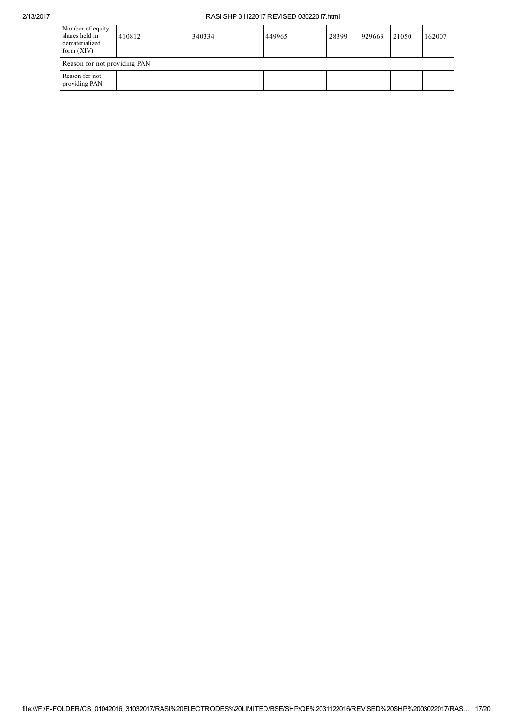## 2/13/2017 RASI SHP 31122017 REVISED 03022017.html

| Number of equity<br>shares held in<br>dematerialized<br>form (XIV) | 410812 | 340334 | 449965 | 28399 | 929663 | 21050 | 162007 |
|--------------------------------------------------------------------|--------|--------|--------|-------|--------|-------|--------|
| Reason for not providing PAN                                       |        |        |        |       |        |       |        |
| Reason for not<br>providing PAN                                    |        |        |        |       |        |       |        |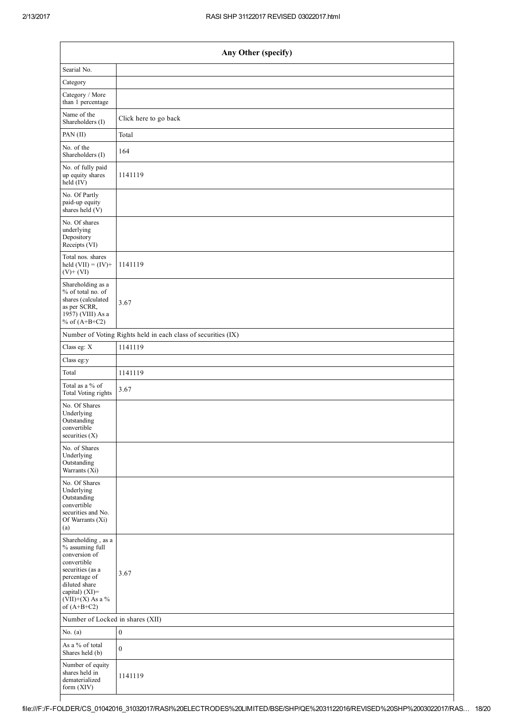| Any Other (specify)                                                                                                                                                                  |                                                               |  |  |
|--------------------------------------------------------------------------------------------------------------------------------------------------------------------------------------|---------------------------------------------------------------|--|--|
| Searial No.                                                                                                                                                                          |                                                               |  |  |
| Category                                                                                                                                                                             |                                                               |  |  |
| Category / More<br>than 1 percentage                                                                                                                                                 |                                                               |  |  |
| Name of the<br>Shareholders (I)                                                                                                                                                      | Click here to go back                                         |  |  |
| PAN (II)                                                                                                                                                                             | Total                                                         |  |  |
| No. of the<br>Shareholders (I)                                                                                                                                                       | 164                                                           |  |  |
| No. of fully paid<br>up equity shares<br>$\text{held} (IV)$                                                                                                                          | 1141119                                                       |  |  |
| No. Of Partly<br>paid-up equity<br>shares held (V)                                                                                                                                   |                                                               |  |  |
| No. Of shares<br>underlying<br>Depository<br>Receipts (VI)                                                                                                                           |                                                               |  |  |
| Total nos. shares<br>held $(VII) = (IV) +$<br>$(V)$ + $(VI)$                                                                                                                         | 1141119                                                       |  |  |
| Shareholding as a<br>% of total no. of<br>shares (calculated<br>as per SCRR,<br>1957) (VIII) As a<br>% of $(A+B+C2)$                                                                 | 3.67                                                          |  |  |
|                                                                                                                                                                                      | Number of Voting Rights held in each class of securities (IX) |  |  |
| Class eg: X                                                                                                                                                                          | 1141119                                                       |  |  |
| Class eg:y                                                                                                                                                                           |                                                               |  |  |
| Total                                                                                                                                                                                | 1141119                                                       |  |  |
| Total as a % of<br>Total Voting rights                                                                                                                                               | 3.67                                                          |  |  |
| No. Of Shares<br>Underlying<br>Outstanding<br>convertible<br>securities (X)                                                                                                          |                                                               |  |  |
| No. of Shares<br>Underlying<br>Outstanding<br>Warrants (Xi)                                                                                                                          |                                                               |  |  |
| No. Of Shares<br>Underlying<br>Outstanding<br>convertible<br>securities and No.<br>Of Warrants (Xi)<br>(a)                                                                           |                                                               |  |  |
| Shareholding, as a<br>% assuming full<br>conversion of<br>convertible<br>securities (as a<br>percentage of<br>diluted share<br>capital) (XI)=<br>$(VII)+(X)$ As a %<br>of $(A+B+C2)$ | 3.67                                                          |  |  |
| Number of Locked in shares (XII)                                                                                                                                                     |                                                               |  |  |
| No. $(a)$                                                                                                                                                                            | $\boldsymbol{0}$                                              |  |  |
| As a % of total<br>Shares held (b)                                                                                                                                                   | $\mathbf{0}$                                                  |  |  |
| Number of equity<br>shares held in<br>dematerialized<br>form (XIV)                                                                                                                   | 1141119                                                       |  |  |